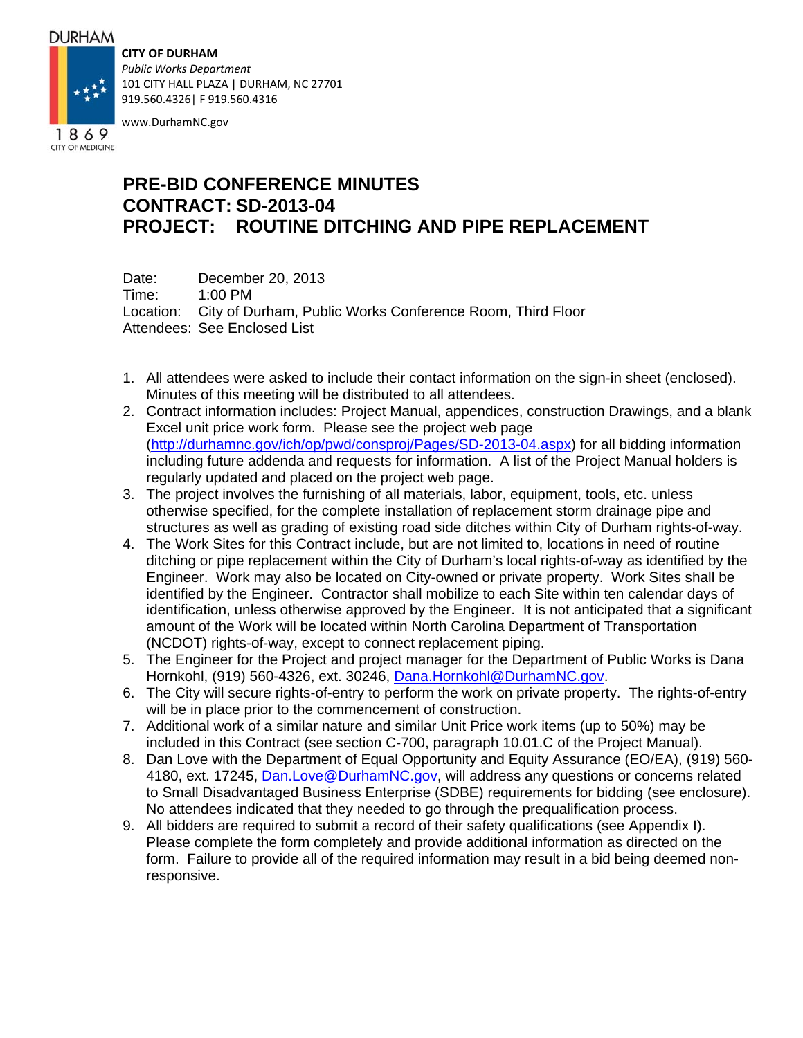#### **DURHAM**

**CITY OF DURHAM**



*Public Works Department* 101 CITY HALL PLAZA | DURHAM, NC 27701 919.560.4326| F 919.560.4316

www.DurhamNC.gov

# **PRE-BID CONFERENCE MINUTES CONTRACT: SD-2013-04 PROJECT: ROUTINE DITCHING AND PIPE REPLACEMENT**

Date: December 20, 2013 Time: 1:00 PM Location: City of Durham, Public Works Conference Room, Third Floor Attendees: See Enclosed List

- 1. All attendees were asked to include their contact information on the sign-in sheet (enclosed). Minutes of this meeting will be distributed to all attendees.
- 2. Contract information includes: Project Manual, appendices, construction Drawings, and a blank Excel unit price work form. Please see the project web page (http://durhamnc.gov/ich/op/pwd/consproj/Pages/SD-2013-04.aspx) for all bidding information including future addenda and requests for information. A list of the Project Manual holders is regularly updated and placed on the project web page.
- 3. The project involves the furnishing of all materials, labor, equipment, tools, etc. unless otherwise specified, for the complete installation of replacement storm drainage pipe and structures as well as grading of existing road side ditches within City of Durham rights-of-way.
- 4. The Work Sites for this Contract include, but are not limited to, locations in need of routine ditching or pipe replacement within the City of Durham's local rights-of-way as identified by the Engineer. Work may also be located on City-owned or private property. Work Sites shall be identified by the Engineer. Contractor shall mobilize to each Site within ten calendar days of identification, unless otherwise approved by the Engineer. It is not anticipated that a significant amount of the Work will be located within North Carolina Department of Transportation (NCDOT) rights-of-way, except to connect replacement piping.
- 5. The Engineer for the Project and project manager for the Department of Public Works is Dana Hornkohl, (919) 560-4326, ext. 30246, Dana.Hornkohl@DurhamNC.gov.
- 6. The City will secure rights-of-entry to perform the work on private property. The rights-of-entry will be in place prior to the commencement of construction.
- 7. Additional work of a similar nature and similar Unit Price work items (up to 50%) may be included in this Contract (see section C-700, paragraph 10.01.C of the Project Manual).
- 8. Dan Love with the Department of Equal Opportunity and Equity Assurance (EO/EA), (919) 560- 4180, ext. 17245, Dan.Love@DurhamNC.gov, will address any questions or concerns related to Small Disadvantaged Business Enterprise (SDBE) requirements for bidding (see enclosure). No attendees indicated that they needed to go through the prequalification process.
- 9. All bidders are required to submit a record of their safety qualifications (see Appendix I). Please complete the form completely and provide additional information as directed on the form. Failure to provide all of the required information may result in a bid being deemed nonresponsive.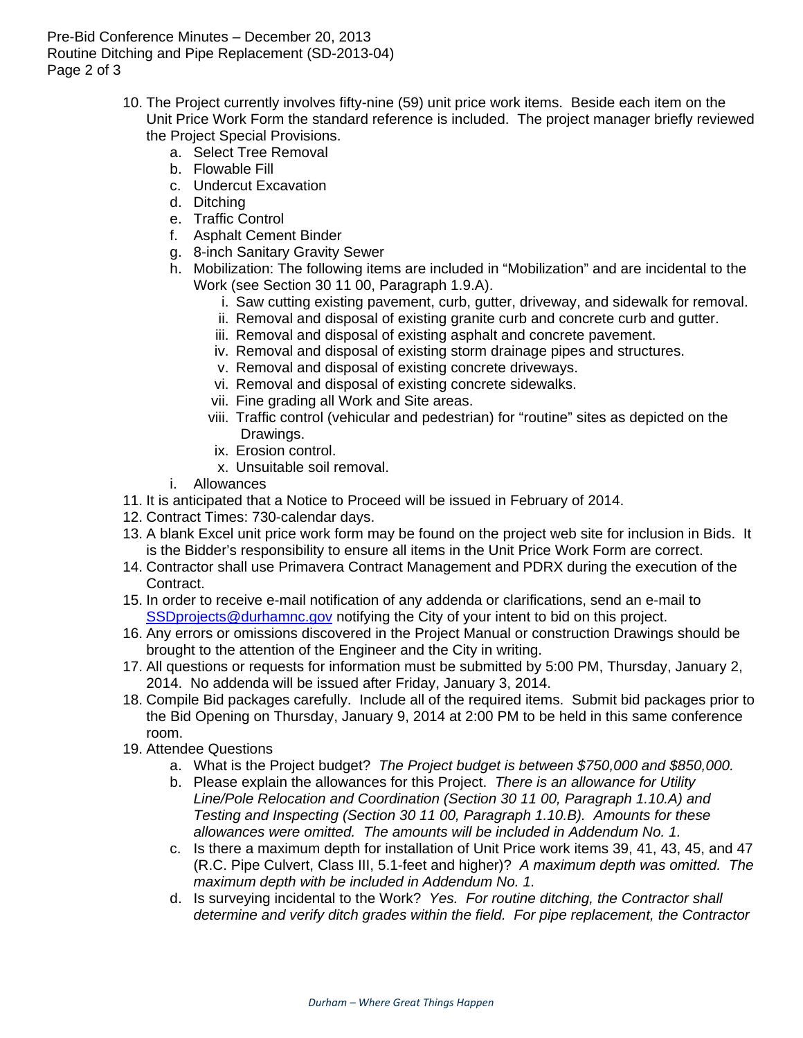Pre-Bid Conference Minutes – December 20, 2013 Routine Ditching and Pipe Replacement (SD-2013-04) Page 2 of 3

- 10. The Project currently involves fifty-nine (59) unit price work items. Beside each item on the Unit Price Work Form the standard reference is included. The project manager briefly reviewed the Project Special Provisions.
	- a. Select Tree Removal
	- b. Flowable Fill
	- c. Undercut Excavation
	- d. Ditching
	- e. Traffic Control
	- f. Asphalt Cement Binder
	- g. 8-inch Sanitary Gravity Sewer
	- h. Mobilization: The following items are included in "Mobilization" and are incidental to the Work (see Section 30 11 00, Paragraph 1.9.A).
		- i. Saw cutting existing pavement, curb, gutter, driveway, and sidewalk for removal.
		- ii. Removal and disposal of existing granite curb and concrete curb and gutter.
		- iii. Removal and disposal of existing asphalt and concrete pavement.
		- iv. Removal and disposal of existing storm drainage pipes and structures.
		- v. Removal and disposal of existing concrete driveways.
		- vi. Removal and disposal of existing concrete sidewalks.
		- vii. Fine grading all Work and Site areas.
		- viii. Traffic control (vehicular and pedestrian) for "routine" sites as depicted on the Drawings.
		- ix. Erosion control.
		- x. Unsuitable soil removal.
	- i. Allowances
- 11. It is anticipated that a Notice to Proceed will be issued in February of 2014.
- 12. Contract Times: 730-calendar days.
- 13. A blank Excel unit price work form may be found on the project web site for inclusion in Bids. It is the Bidder's responsibility to ensure all items in the Unit Price Work Form are correct.
- 14. Contractor shall use Primavera Contract Management and PDRX during the execution of the Contract.
- 15. In order to receive e-mail notification of any addenda or clarifications, send an e-mail to SSD projects@durhamnc.gov notifying the City of your intent to bid on this project.
- 16. Any errors or omissions discovered in the Project Manual or construction Drawings should be brought to the attention of the Engineer and the City in writing.
- 17. All questions or requests for information must be submitted by 5:00 PM, Thursday, January 2, 2014. No addenda will be issued after Friday, January 3, 2014.
- 18. Compile Bid packages carefully. Include all of the required items. Submit bid packages prior to the Bid Opening on Thursday, January 9, 2014 at 2:00 PM to be held in this same conference room.
- 19. Attendee Questions
	- a. What is the Project budget? *The Project budget is between \$750,000 and \$850,000.*
	- b. Please explain the allowances for this Project. *There is an allowance for Utility Line/Pole Relocation and Coordination (Section 30 11 00, Paragraph 1.10.A) and Testing and Inspecting (Section 30 11 00, Paragraph 1.10.B). Amounts for these allowances were omitted. The amounts will be included in Addendum No. 1.*
	- c. Is there a maximum depth for installation of Unit Price work items 39, 41, 43, 45, and 47 (R.C. Pipe Culvert, Class III, 5.1-feet and higher)? *A maximum depth was omitted. The maximum depth with be included in Addendum No. 1.*
	- d. Is surveying incidental to the Work? *Yes. For routine ditching, the Contractor shall determine and verify ditch grades within the field. For pipe replacement, the Contractor*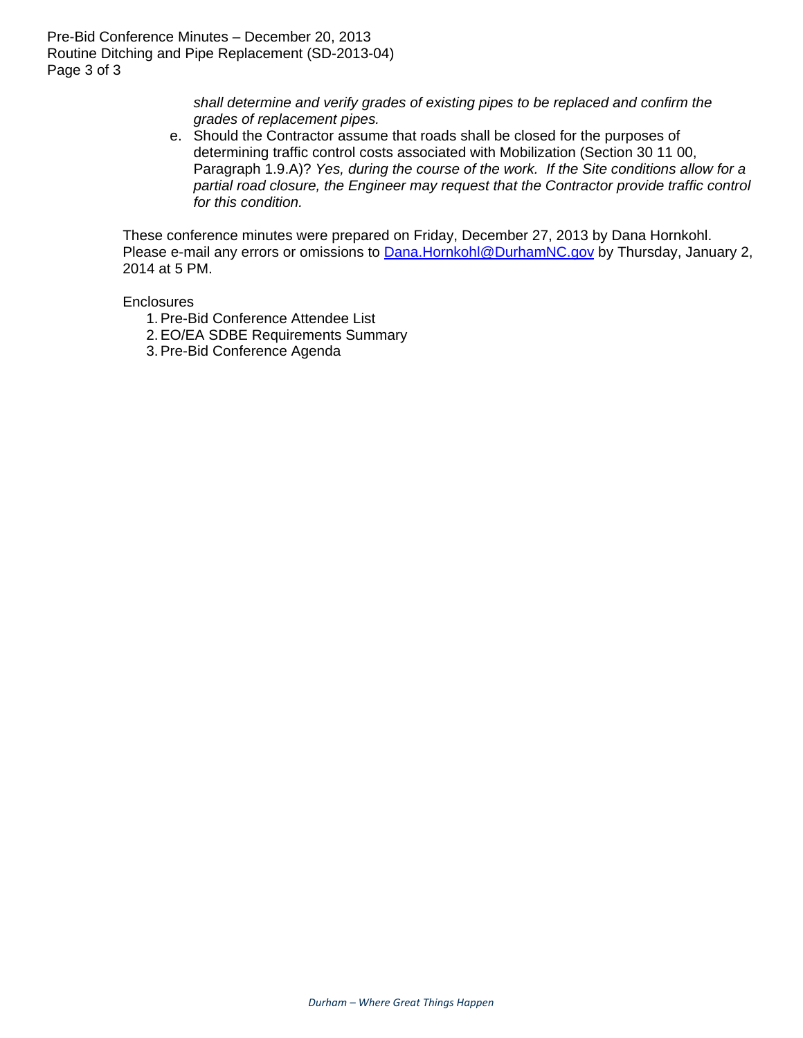*shall determine and verify grades of existing pipes to be replaced and confirm the grades of replacement pipes.*

e. Should the Contractor assume that roads shall be closed for the purposes of determining traffic control costs associated with Mobilization (Section 30 11 00, Paragraph 1.9.A)? *Yes, during the course of the work. If the Site conditions allow for a partial road closure, the Engineer may request that the Contractor provide traffic control for this condition.*

These conference minutes were prepared on Friday, December 27, 2013 by Dana Hornkohl. Please e-mail any errors or omissions to **Dana.Hornkohl@DurhamNC.gov** by Thursday, January 2, 2014 at 5 PM.

**Enclosures** 

- 1. Pre-Bid Conference Attendee List
- 2. EO/EA SDBE Requirements Summary
- 3. Pre-Bid Conference Agenda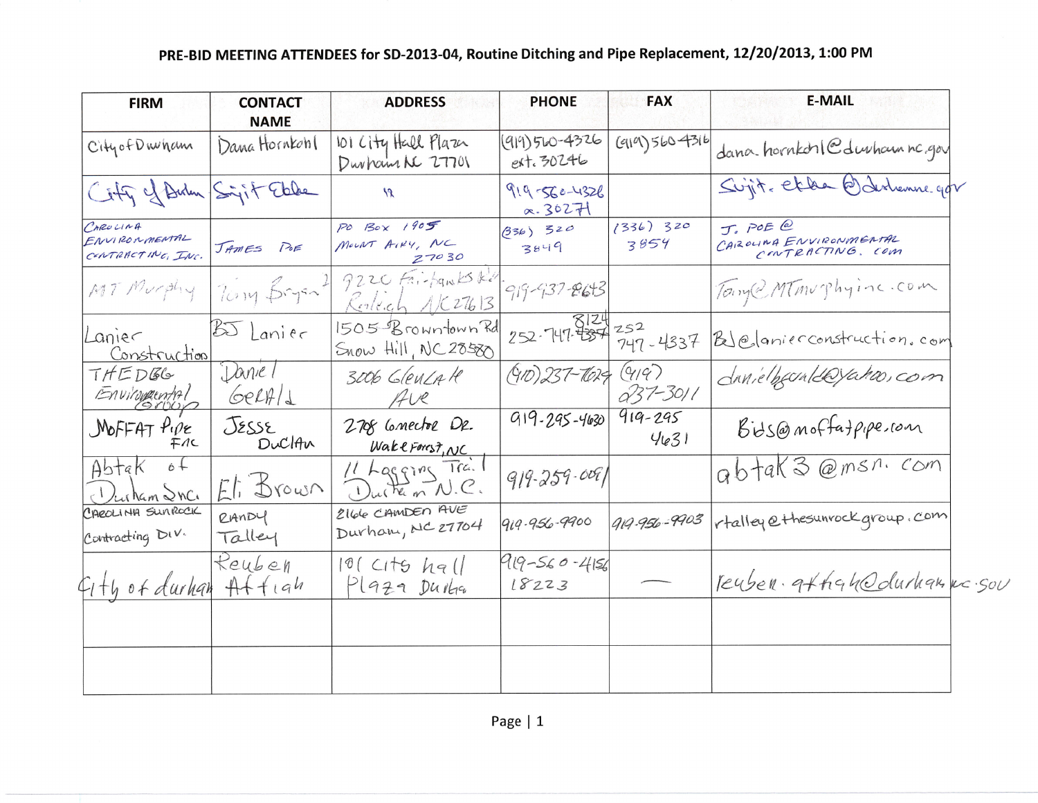## PRE-BID MEETING ATTENDEES for SD-2013-04, Routine Ditching and Pipe Replacement, 12/20/2013, 1:00 PM

| <b>FIRM</b>                                    | <b>CONTACT</b><br><b>NAME</b> | <b>ADDRESS</b>                           | <b>PHONE</b>                    | <b>FAX</b>          | <b>E-MAIL</b>                                          |
|------------------------------------------------|-------------------------------|------------------------------------------|---------------------------------|---------------------|--------------------------------------------------------|
| City of Dwham                                  | Dama Hornkohl                 | 101 City Hall Plaza<br>Durham NC 27701   | $(919)560 - 4326$<br>ext. 30246 | (919)5604316        | dana hornkohl@durhamnc.gov                             |
| Cify of Birden Sigit Ebbe                      |                               | $\mathcal{R}$                            | 919-560-4326<br>$\alpha.36271$  |                     | Sujit, et de Barlenne gov                              |
| CAROLINA<br>ENVIRONMENTAL<br>CONTRACTING, INC. | JAMES POE                     | PO BOX 1905<br>MOUNT AIRY, NC<br>27030   | $(336)$ 320<br>3849             | $(336)$ 320<br>3854 | J. POE @<br>CAROLINA ENVIRONMENTAL<br>CONTRACTING, COM |
| MT Murphy                                      | 70mg Bryant                   | 9220 Fri-family Ke<br>Keleich A/C27613   | 919-937-8643                    |                     | Tony@ MTMurphyine.com                                  |
| Lanier<br>Construction                         | $55$ Lanier                   | 1505 Browntown Rd<br>Snow Hill, NC 28580 | $252 - 147 - 357$               | 747-4337            | BleJanierconstruction.com                              |
| THEDGG<br>Environmental                        | Daniel<br>GerA/1              | 3006 GLEULAR<br>Ave                      | $(910)$ 237-7625 (919)          | $037 - 3011$        | danielhecenteryako, com                                |
| $MofFAT$ $P.pe$<br>FAC                         | JESSE<br>DuclAn               | 2708 Cornector Dr.<br>WakeForest, NC     | $919 - 295 - 4630$              | $919 - 295$<br>4631 | Bids@moffatpipe.com                                    |
| $6+$<br>Abtak<br>Justam Inc.                   | Eli Brown                     | 11 Lagging Trail<br>Durken N.C.          | $919 - 259 - 0091$              |                     | abtak3@msn.com                                         |
| CAROLINA SUNROCK<br>Contracting DIV.           | RANDY<br>Talley               | 2166 CAMDEN AVE<br>Durham, NC 27704      | 919-956-9900                    | 919-956-9903        | rtalley@thesunrockgroup.com                            |
| fith of durhan                                 | Reuben<br>Attah               | $10$ ( $C1t6$ $he$ $  $<br>PL9Z9 Durka   | $919 - 560 - 4156$<br>18223     |                     | reuber gthan durhammer sou                             |
|                                                |                               |                                          |                                 |                     |                                                        |
|                                                |                               |                                          |                                 |                     |                                                        |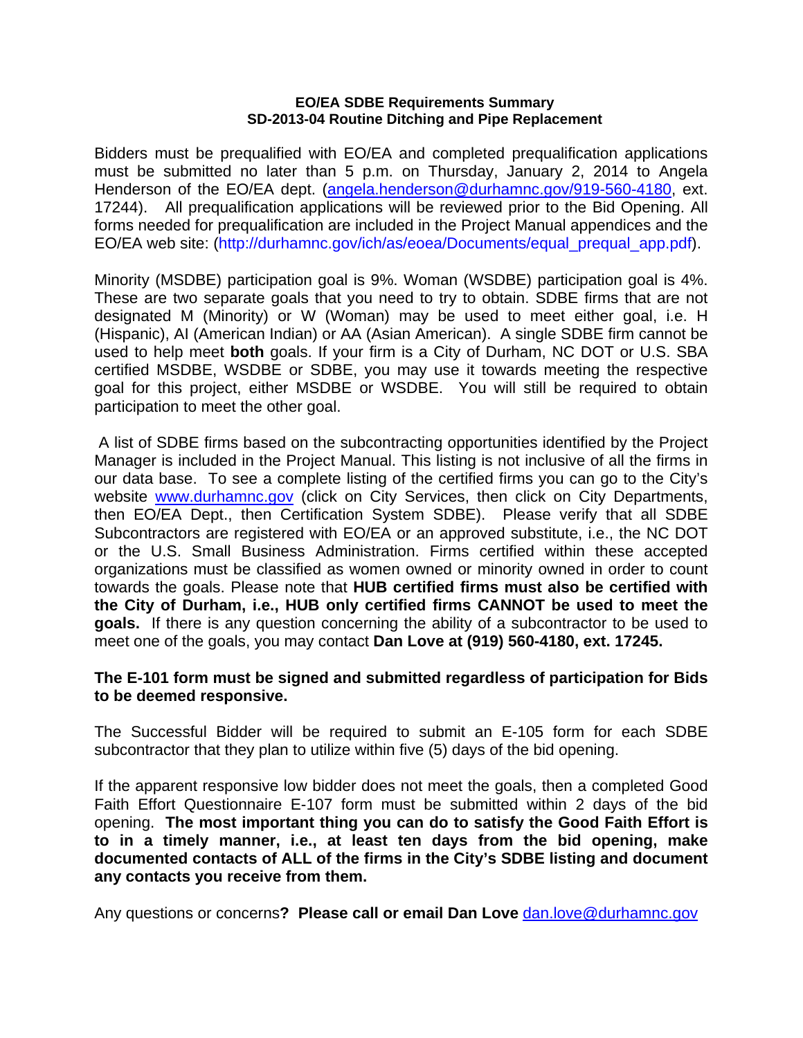#### **EO/EA SDBE Requirements Summary SD-2013-04 Routine Ditching and Pipe Replacement**

Bidders must be prequalified with EO/EA and completed prequalification applications must be submitted no later than 5 p.m. on Thursday, January 2, 2014 to Angela Henderson of the EO/EA dept. (angela.henderson@durhamnc.gov/919-560-4180, ext. 17244). All prequalification applications will be reviewed prior to the Bid Opening. All forms needed for prequalification are included in the Project Manual appendices and the EO/EA web site: (http://durhamnc.gov/ich/as/eoea/Documents/equal\_prequal\_app.pdf).

Minority (MSDBE) participation goal is 9%. Woman (WSDBE) participation goal is 4%. These are two separate goals that you need to try to obtain. SDBE firms that are not designated M (Minority) or W (Woman) may be used to meet either goal, i.e. H (Hispanic), AI (American Indian) or AA (Asian American). A single SDBE firm cannot be used to help meet **both** goals. If your firm is a City of Durham, NC DOT or U.S. SBA certified MSDBE, WSDBE or SDBE, you may use it towards meeting the respective goal for this project, either MSDBE or WSDBE. You will still be required to obtain participation to meet the other goal.

 A list of SDBE firms based on the subcontracting opportunities identified by the Project Manager is included in the Project Manual. This listing is not inclusive of all the firms in our data base. To see a complete listing of the certified firms you can go to the City's website www.durhamnc.gov (click on City Services, then click on City Departments, then EO/EA Dept., then Certification System SDBE). Please verify that all SDBE Subcontractors are registered with EO/EA or an approved substitute, i.e., the NC DOT or the U.S. Small Business Administration. Firms certified within these accepted organizations must be classified as women owned or minority owned in order to count towards the goals. Please note that **HUB certified firms must also be certified with the City of Durham, i.e., HUB only certified firms CANNOT be used to meet the goals.** If there is any question concerning the ability of a subcontractor to be used to meet one of the goals, you may contact **Dan Love at (919) 560-4180, ext. 17245.** 

### **The E-101 form must be signed and submitted regardless of participation for Bids to be deemed responsive.**

The Successful Bidder will be required to submit an E-105 form for each SDBE subcontractor that they plan to utilize within five (5) days of the bid opening.

If the apparent responsive low bidder does not meet the goals, then a completed Good Faith Effort Questionnaire E-107 form must be submitted within 2 days of the bid opening. **The most important thing you can do to satisfy the Good Faith Effort is to in a timely manner, i.e., at least ten days from the bid opening, make documented contacts of ALL of the firms in the City's SDBE listing and document any contacts you receive from them.** 

Any questions or concerns**? Please call or email Dan Love** dan.love@durhamnc.gov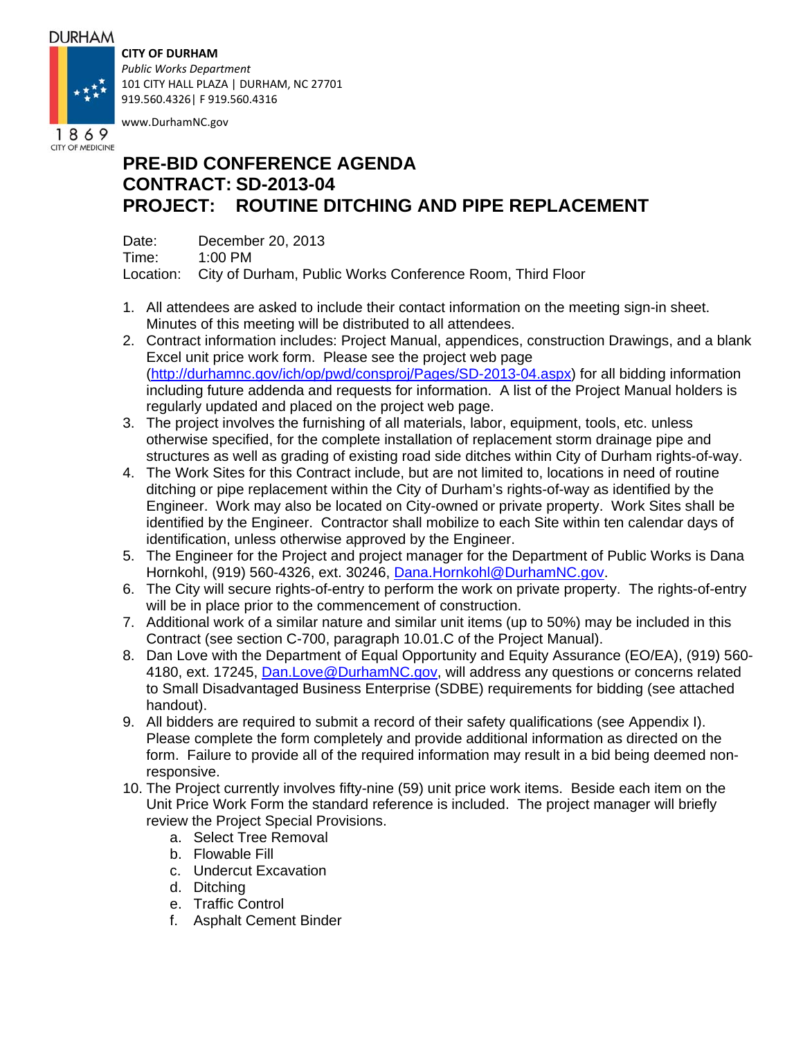### **DURHAM**

### **CITY OF DURHAM**



*Public Works Department* 101 CITY HALL PLAZA | DURHAM, NC 27701 919.560.4326| F 919.560.4316

www.DurhamNC.gov

# **PRE-BID CONFERENCE AGENDA CONTRACT: SD-2013-04 PROJECT: ROUTINE DITCHING AND PIPE REPLACEMENT**

Date: December 20, 2013 Time: 1:00 PM Location: City of Durham, Public Works Conference Room, Third Floor

- 1. All attendees are asked to include their contact information on the meeting sign-in sheet. Minutes of this meeting will be distributed to all attendees.
- 2. Contract information includes: Project Manual, appendices, construction Drawings, and a blank Excel unit price work form. Please see the project web page (http://durhamnc.gov/ich/op/pwd/consproj/Pages/SD-2013-04.aspx) for all bidding information including future addenda and requests for information. A list of the Project Manual holders is regularly updated and placed on the project web page.
- 3. The project involves the furnishing of all materials, labor, equipment, tools, etc. unless otherwise specified, for the complete installation of replacement storm drainage pipe and structures as well as grading of existing road side ditches within City of Durham rights-of-way.
- 4. The Work Sites for this Contract include, but are not limited to, locations in need of routine ditching or pipe replacement within the City of Durham's rights-of-way as identified by the Engineer. Work may also be located on City-owned or private property. Work Sites shall be identified by the Engineer. Contractor shall mobilize to each Site within ten calendar days of identification, unless otherwise approved by the Engineer.
- 5. The Engineer for the Project and project manager for the Department of Public Works is Dana Hornkohl, (919) 560-4326, ext. 30246, Dana.Hornkohl@DurhamNC.gov.
- 6. The City will secure rights-of-entry to perform the work on private property. The rights-of-entry will be in place prior to the commencement of construction.
- 7. Additional work of a similar nature and similar unit items (up to 50%) may be included in this Contract (see section C-700, paragraph 10.01.C of the Project Manual).
- 8. Dan Love with the Department of Equal Opportunity and Equity Assurance (EO/EA), (919) 560- 4180, ext. 17245, Dan.Love@DurhamNC.gov, will address any questions or concerns related to Small Disadvantaged Business Enterprise (SDBE) requirements for bidding (see attached handout).
- 9. All bidders are required to submit a record of their safety qualifications (see Appendix I). Please complete the form completely and provide additional information as directed on the form. Failure to provide all of the required information may result in a bid being deemed nonresponsive.
- 10. The Project currently involves fifty-nine (59) unit price work items. Beside each item on the Unit Price Work Form the standard reference is included. The project manager will briefly review the Project Special Provisions.
	- a. Select Tree Removal
	- b. Flowable Fill
	- c. Undercut Excavation
	- d. Ditching
	- e. Traffic Control
	- f. Asphalt Cement Binder